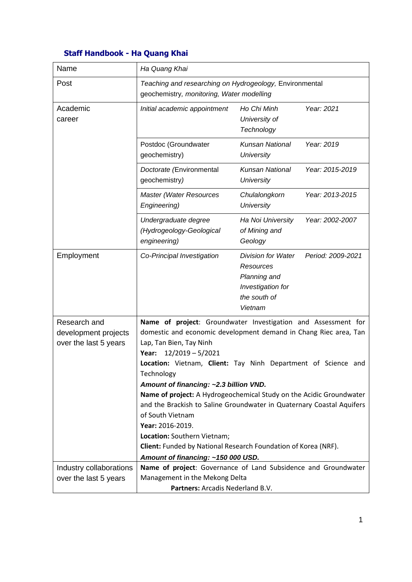## **Staff Handbook - Ha Quang Khai**

| Name                                                          | Ha Quang Khai                                                                                                                                                                                                                                                                                                                                                                                                                                                                                                                                                                                                                                       |                                                                                                        |                   |
|---------------------------------------------------------------|-----------------------------------------------------------------------------------------------------------------------------------------------------------------------------------------------------------------------------------------------------------------------------------------------------------------------------------------------------------------------------------------------------------------------------------------------------------------------------------------------------------------------------------------------------------------------------------------------------------------------------------------------------|--------------------------------------------------------------------------------------------------------|-------------------|
| Post                                                          | Teaching and researching on Hydrogeology, Environmental<br>geochemistry, monitoring, Water modelling                                                                                                                                                                                                                                                                                                                                                                                                                                                                                                                                                |                                                                                                        |                   |
| Academic<br>career                                            | Initial academic appointment                                                                                                                                                                                                                                                                                                                                                                                                                                                                                                                                                                                                                        | Ho Chi Minh<br>University of<br>Technology                                                             | Year: 2021        |
|                                                               | Postdoc (Groundwater<br>geochemistry)                                                                                                                                                                                                                                                                                                                                                                                                                                                                                                                                                                                                               | <b>Kunsan National</b><br><b>University</b>                                                            | Year: 2019        |
|                                                               | Doctorate (Environmental<br>geochemistry)                                                                                                                                                                                                                                                                                                                                                                                                                                                                                                                                                                                                           | <b>Kunsan National</b><br><b>University</b>                                                            | Year: 2015-2019   |
|                                                               | <b>Master (Water Resources</b><br>Engineering)                                                                                                                                                                                                                                                                                                                                                                                                                                                                                                                                                                                                      | Chulalongkorn<br><b>University</b>                                                                     | Year: 2013-2015   |
|                                                               | Undergraduate degree<br>(Hydrogeology-Geological<br>engineering)                                                                                                                                                                                                                                                                                                                                                                                                                                                                                                                                                                                    | Ha Noi University<br>of Mining and<br>Geology                                                          | Year: 2002-2007   |
| Employment                                                    | Co-Principal Investigation                                                                                                                                                                                                                                                                                                                                                                                                                                                                                                                                                                                                                          | <b>Division for Water</b><br>Resources<br>Planning and<br>Investigation for<br>the south of<br>Vietnam | Period: 2009-2021 |
| Research and<br>development projects<br>over the last 5 years | Name of project: Groundwater Investigation and Assessment for<br>domestic and economic development demand in Chang Riec area, Tan<br>Lap, Tan Bien, Tay Ninh<br>$12/2019 - 5/2021$<br>Year:<br>Location: Vietnam, Client: Tay Ninh Department of Science and<br>Technology<br>Amount of financing: ~2.3 billion VND.<br>Name of project: A Hydrogeochemical Study on the Acidic Groundwater<br>and the Brackish to Saline Groundwater in Quaternary Coastal Aquifers<br>of South Vietnam<br>Year: 2016-2019.<br>Location: Southern Vietnam;<br>Client: Funded by National Research Foundation of Korea (NRF).<br>Amount of financing: ~150 000 USD. |                                                                                                        |                   |
| Industry collaborations<br>over the last 5 years              | Name of project: Governance of Land Subsidence and Groundwater<br>Management in the Mekong Delta<br>Partners: Arcadis Nederland B.V.                                                                                                                                                                                                                                                                                                                                                                                                                                                                                                                |                                                                                                        |                   |